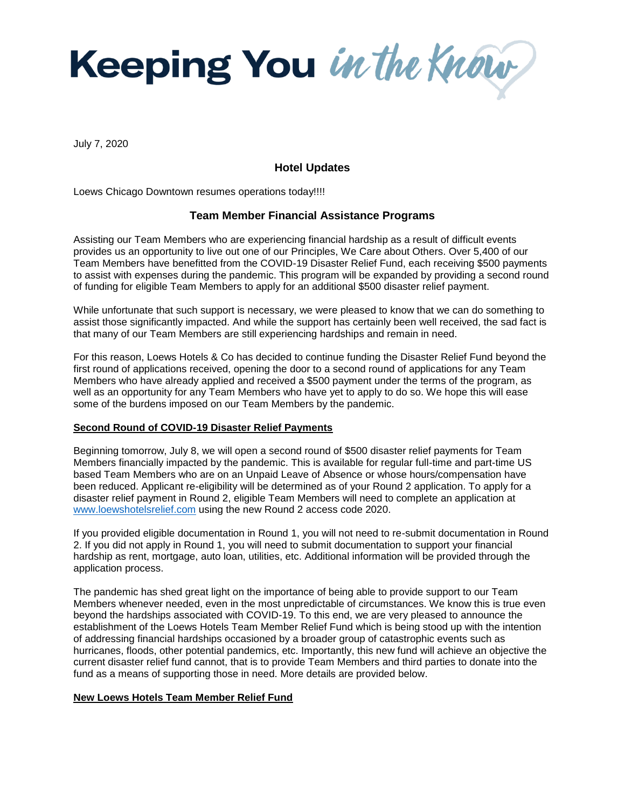

July 7, 2020

## **Hotel Updates**

Loews Chicago Downtown resumes operations today!!!!

## **Team Member Financial Assistance Programs**

Assisting our Team Members who are experiencing financial hardship as a result of difficult events provides us an opportunity to live out one of our Principles, We Care about Others. Over 5,400 of our Team Members have benefitted from the COVID-19 Disaster Relief Fund, each receiving \$500 payments to assist with expenses during the pandemic. This program will be expanded by providing a second round of funding for eligible Team Members to apply for an additional \$500 disaster relief payment.

While unfortunate that such support is necessary, we were pleased to know that we can do something to assist those significantly impacted. And while the support has certainly been well received, the sad fact is that many of our Team Members are still experiencing hardships and remain in need.

For this reason, Loews Hotels & Co has decided to continue funding the Disaster Relief Fund beyond the first round of applications received, opening the door to a second round of applications for any Team Members who have already applied and received a \$500 payment under the terms of the program, as well as an opportunity for any Team Members who have yet to apply to do so. We hope this will ease some of the burdens imposed on our Team Members by the pandemic.

## **Second Round of COVID-19 Disaster Relief Payments**

Beginning tomorrow, July 8, we will open a second round of \$500 disaster relief payments for Team Members financially impacted by the pandemic. This is available for regular full-time and part-time US based Team Members who are on an Unpaid Leave of Absence or whose hours/compensation have been reduced. Applicant re-eligibility will be determined as of your Round 2 application. To apply for a disaster relief payment in Round 2, eligible Team Members will need to complete an application at [www.loewshotelsrelief.com](file:///C:/Users/kbone/OneDrive%20-%20LOEWS%20HOTELS,%20INC/Documents/2.%20E%20Commerce/HR/www.loewshotelsrelief.com) using the new Round 2 access code 2020.

If you provided eligible documentation in Round 1, you will not need to re-submit documentation in Round 2. If you did not apply in Round 1, you will need to submit documentation to support your financial hardship as rent, mortgage, auto loan, utilities, etc. Additional information will be provided through the application process.

The pandemic has shed great light on the importance of being able to provide support to our Team Members whenever needed, even in the most unpredictable of circumstances. We know this is true even beyond the hardships associated with COVID-19. To this end, we are very pleased to announce the establishment of the Loews Hotels Team Member Relief Fund which is being stood up with the intention of addressing financial hardships occasioned by a broader group of catastrophic events such as hurricanes, floods, other potential pandemics, etc. Importantly, this new fund will achieve an objective the current disaster relief fund cannot, that is to provide Team Members and third parties to donate into the fund as a means of supporting those in need. More details are provided below.

## **New Loews Hotels Team Member Relief Fund**